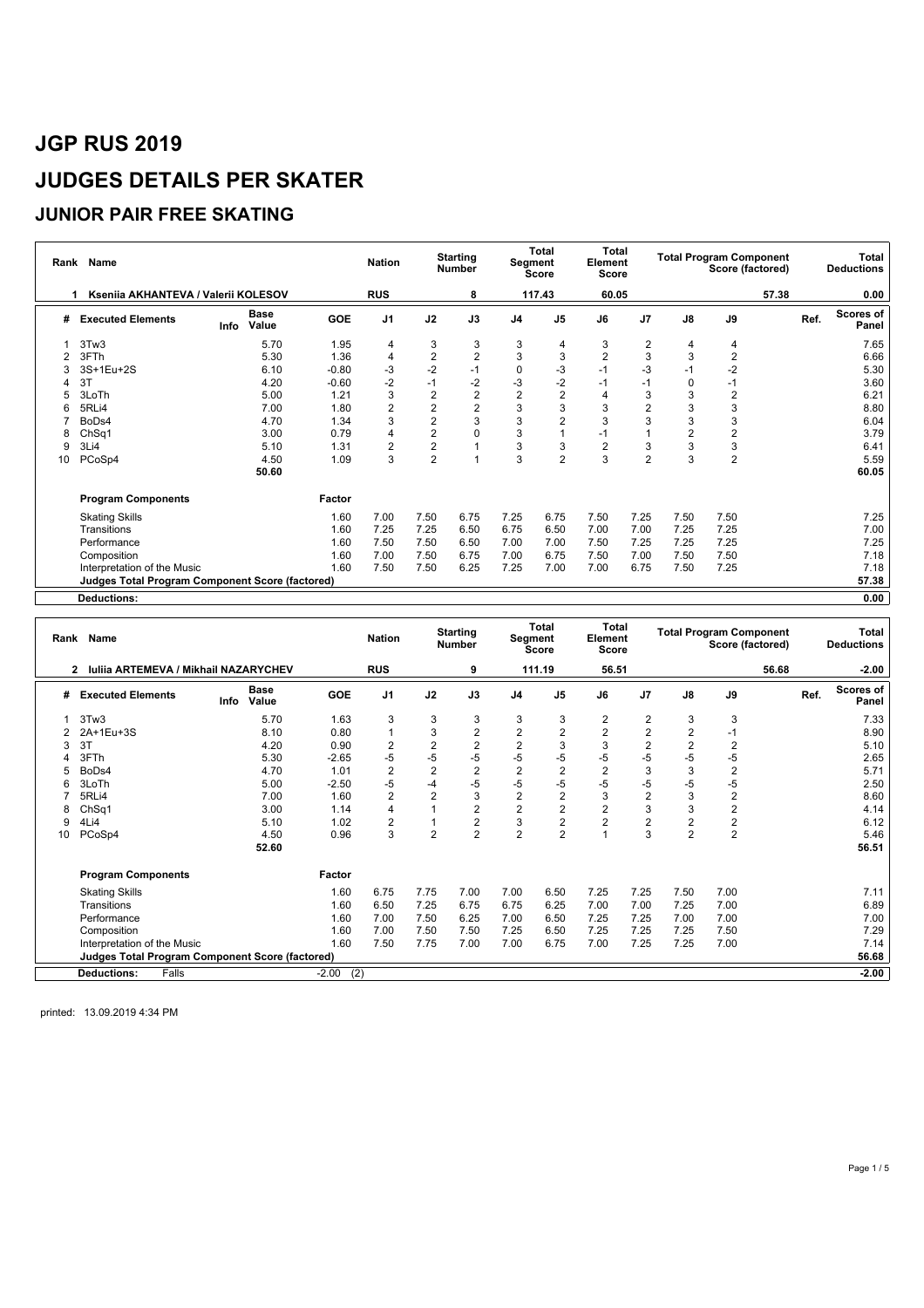### **JUNIOR PAIR FREE SKATING**

|    | Rank Name                                              |      |                      |            | <b>Nation</b>  |                         | <b>Starting</b><br><b>Number</b> |                | <b>Total</b><br>Segment<br><b>Score</b> | Total<br>Element<br>Score |                |                | <b>Total Program Component</b><br>Score (factored) |       | Total<br><b>Deductions</b> |
|----|--------------------------------------------------------|------|----------------------|------------|----------------|-------------------------|----------------------------------|----------------|-----------------------------------------|---------------------------|----------------|----------------|----------------------------------------------------|-------|----------------------------|
|    | Ksenija AKHANTEVA / Valerij KOLESOV                    |      |                      |            | <b>RUS</b>     |                         | 8                                |                | 117.43                                  | 60.05                     |                |                |                                                    | 57.38 | 0.00                       |
| #  | <b>Executed Elements</b>                               | Info | <b>Base</b><br>Value | <b>GOE</b> | J <sub>1</sub> | J2                      | J3                               | J <sub>4</sub> | J <sub>5</sub>                          | J6                        | J <sub>7</sub> | J8             | J9                                                 |       | Scores of<br>Ref.<br>Panel |
|    | 3Tw3                                                   |      | 5.70                 | 1.95       | 4              | 3                       | 3                                | 3              | 4                                       | 3                         | 2              | 4              | 4                                                  |       | 7.65                       |
|    | 3FTh                                                   |      | 5.30                 | 1.36       | 4              | $\overline{\mathbf{c}}$ | $\overline{2}$                   | 3              | 3                                       | $\overline{2}$            | 3              | 3              | $\overline{2}$                                     |       | 6.66                       |
|    | 3S+1Eu+2S                                              |      | 6.10                 | $-0.80$    | -3             | $-2$                    | $-1$                             | 0              | $-3$                                    | $-1$                      | -3             | -1             | $-2$                                               |       | 5.30                       |
|    | 3T                                                     |      | 4.20                 | $-0.60$    | $-2$           | $-1$                    | $-2$                             | $-3$           | $-2$                                    | $-1$                      | $-1$           | $\Omega$       | -1                                                 |       | 3.60                       |
|    | 3LoTh                                                  |      | 5.00                 | 1.21       | 3              | $\sqrt{2}$              | $\overline{2}$                   | $\overline{2}$ | $\overline{2}$                          | 4                         | 3              | 3              | $\overline{2}$                                     |       | 6.21                       |
| 6  | 5RLi4                                                  |      | 7.00                 | 1.80       | $\overline{2}$ | $\overline{2}$          | $\overline{2}$                   | 3              | 3                                       | 3                         | 2              | 3              | 3                                                  |       | 8.80                       |
|    | BoDs4                                                  |      | 4.70                 | 1.34       | 3              | $\overline{2}$          | 3                                | 3              | $\overline{2}$                          | 3                         | 3              | 3              | 3                                                  |       | 6.04                       |
| 8  | ChSq1                                                  |      | 3.00                 | 0.79       | 4              | $\overline{2}$          | $\mathbf 0$                      | 3              |                                         | $-1$                      |                | $\overline{2}$ | $\overline{c}$                                     |       | 3.79                       |
| 9  | 3Li4                                                   |      | 5.10                 | 1.31       | 2              | $\overline{2}$          |                                  | 3              | 3                                       | 2                         | 3              | 3              | 3                                                  |       | 6.41                       |
| 10 | PCoSp4                                                 |      | 4.50                 | 1.09       | 3              | $\overline{2}$          | $\overline{1}$                   | 3              | $\overline{2}$                          | 3                         | $\overline{2}$ | 3              | $\overline{2}$                                     |       | 5.59                       |
|    |                                                        |      | 50.60                |            |                |                         |                                  |                |                                         |                           |                |                |                                                    |       | 60.05                      |
|    | <b>Program Components</b>                              |      |                      | Factor     |                |                         |                                  |                |                                         |                           |                |                |                                                    |       |                            |
|    | <b>Skating Skills</b>                                  |      |                      | 1.60       | 7.00           | 7.50                    | 6.75                             | 7.25           | 6.75                                    | 7.50                      | 7.25           | 7.50           | 7.50                                               |       | 7.25                       |
|    | Transitions                                            |      |                      | 1.60       | 7.25           | 7.25                    | 6.50                             | 6.75           | 6.50                                    | 7.00                      | 7.00           | 7.25           | 7.25                                               |       | 7.00                       |
|    | Performance                                            |      |                      | 1.60       | 7.50           | 7.50                    | 6.50                             | 7.00           | 7.00                                    | 7.50                      | 7.25           | 7.25           | 7.25                                               |       | 7.25                       |
|    | Composition                                            |      |                      | 1.60       | 7.00           | 7.50                    | 6.75                             | 7.00           | 6.75                                    | 7.50                      | 7.00           | 7.50           | 7.50                                               |       | 7.18                       |
|    | Interpretation of the Music                            |      |                      | 1.60       | 7.50           | 7.50                    | 6.25                             | 7.25           | 7.00                                    | 7.00                      | 6.75           | 7.50           | 7.25                                               |       | 7.18                       |
|    | <b>Judges Total Program Component Score (factored)</b> |      |                      |            |                |                         |                                  |                |                                         |                           |                |                |                                                    |       | 57.38                      |
|    | <b>Deductions:</b>                                     |      |                      |            |                |                         |                                  |                |                                         |                           |                |                |                                                    |       | 0.00                       |

|    | Rank Name                                                   |      | <b>Nation</b>        |                | <b>Starting</b><br><b>Number</b> | Segment        | <b>Total</b><br>Score   | <b>Total</b><br>Element<br><b>Score</b> |                |                | <b>Total Program Component</b><br>Score (factored) |                |                | <b>Total</b><br><b>Deductions</b> |      |                           |
|----|-------------------------------------------------------------|------|----------------------|----------------|----------------------------------|----------------|-------------------------|-----------------------------------------|----------------|----------------|----------------------------------------------------|----------------|----------------|-----------------------------------|------|---------------------------|
|    | <b>Iuliia ARTEMEVA / Mikhail NAZARYCHEV</b><br>$\mathbf{2}$ |      |                      |                | <b>RUS</b>                       |                | 9                       |                                         | 111.19         | 56.51          |                                                    |                |                | 56.68                             |      | $-2.00$                   |
| #  | <b>Executed Elements</b>                                    | Info | <b>Base</b><br>Value | <b>GOE</b>     | J <sub>1</sub>                   | J2             | J3                      | J <sub>4</sub>                          | J <sub>5</sub> | J6             | J7                                                 | J8             | J9             |                                   | Ref. | <b>Scores of</b><br>Panel |
|    | 3Tw3                                                        |      | 5.70                 | 1.63           | 3                                | 3              | 3                       | 3                                       | 3              | $\overline{2}$ | $\overline{2}$                                     | 3              | 3              |                                   |      | 7.33                      |
|    | 2A+1Eu+3S                                                   |      | 8.10                 | 0.80           | 1                                | 3              | $\overline{c}$          | $\overline{2}$                          | $\overline{2}$ | $\overline{c}$ | 2                                                  | $\overline{2}$ | $-1$           |                                   |      | 8.90                      |
| 3  | 3T                                                          |      | 4.20                 | 0.90           | $\overline{2}$                   | $\overline{2}$ | $\overline{\mathbf{c}}$ | $\overline{2}$                          | 3              | 3              | 2                                                  | $\overline{2}$ | $\overline{2}$ |                                   |      | 5.10                      |
|    | 3FTh                                                        |      | 5.30                 | $-2.65$        | -5                               | -5             | $-5$                    | $-5$                                    | $-5$           | -5             | -5                                                 | -5             | $-5$           |                                   |      | 2.65                      |
| 5  | BoDs4                                                       |      | 4.70                 | 1.01           | $\overline{2}$                   | $\overline{2}$ | $\overline{c}$          | $\overline{2}$                          | $\overline{2}$ | $\overline{2}$ | 3                                                  | 3              | $\overline{2}$ |                                   |      | 5.71                      |
| 6  | 3LoTh                                                       |      | 5.00                 | $-2.50$        | $-5$                             | $-4$           | $-5$                    | $-5$                                    | $-5$           | -5             | $-5$                                               | -5             | $-5$           |                                   |      | 2.50                      |
|    | 5RLi4                                                       |      | 7.00                 | 1.60           | $\overline{2}$                   | $\overline{2}$ | 3                       | $\overline{2}$                          | $\overline{2}$ | 3              | $\overline{2}$                                     | 3              | 2              |                                   |      | 8.60                      |
| 8  | ChSq1                                                       |      | 3.00                 | 1.14           | 4                                |                | $\boldsymbol{2}$        | $\overline{c}$                          | $\overline{2}$ | $\overline{2}$ | 3                                                  | 3              | $\overline{2}$ |                                   |      | 4.14                      |
| 9  | 4Li4                                                        |      | 5.10                 | 1.02           | $\overline{2}$                   |                | $\overline{\mathbf{c}}$ | 3                                       | 2              | $\overline{2}$ | 2                                                  | $\overline{2}$ | 2              |                                   |      | 6.12                      |
| 10 | PCoSp4                                                      |      | 4.50                 | 0.96           | 3                                | $\overline{2}$ | $\overline{2}$          | $\overline{2}$                          | $\overline{2}$ |                | 3                                                  | $\mathfrak{p}$ | $\overline{2}$ |                                   |      | 5.46                      |
|    |                                                             |      | 52.60                |                |                                  |                |                         |                                         |                |                |                                                    |                |                |                                   |      | 56.51                     |
|    | <b>Program Components</b>                                   |      |                      | Factor         |                                  |                |                         |                                         |                |                |                                                    |                |                |                                   |      |                           |
|    | <b>Skating Skills</b>                                       |      |                      | 1.60           | 6.75                             | 7.75           | 7.00                    | 7.00                                    | 6.50           | 7.25           | 7.25                                               | 7.50           | 7.00           |                                   |      | 7.11                      |
|    | Transitions                                                 |      |                      | 1.60           | 6.50                             | 7.25           | 6.75                    | 6.75                                    | 6.25           | 7.00           | 7.00                                               | 7.25           | 7.00           |                                   |      | 6.89                      |
|    | Performance                                                 |      |                      | 1.60           | 7.00                             | 7.50           | 6.25                    | 7.00                                    | 6.50           | 7.25           | 7.25                                               | 7.00           | 7.00           |                                   |      | 7.00                      |
|    | Composition                                                 |      |                      | 1.60           | 7.00                             | 7.50           | 7.50                    | 7.25                                    | 6.50           | 7.25           | 7.25                                               | 7.25           | 7.50           |                                   |      | 7.29                      |
|    | Interpretation of the Music                                 |      |                      | 1.60           | 7.50                             | 7.75           | 7.00                    | 7.00                                    | 6.75           | 7.00           | 7.25                                               | 7.25           | 7.00           |                                   |      | 7.14                      |
|    | Judges Total Program Component Score (factored)             |      |                      |                |                                  |                |                         |                                         |                |                |                                                    |                |                |                                   |      | 56.68                     |
|    | Falls<br><b>Deductions:</b>                                 |      |                      | (2)<br>$-2.00$ |                                  |                |                         |                                         |                |                |                                                    |                |                |                                   |      | $-2.00$                   |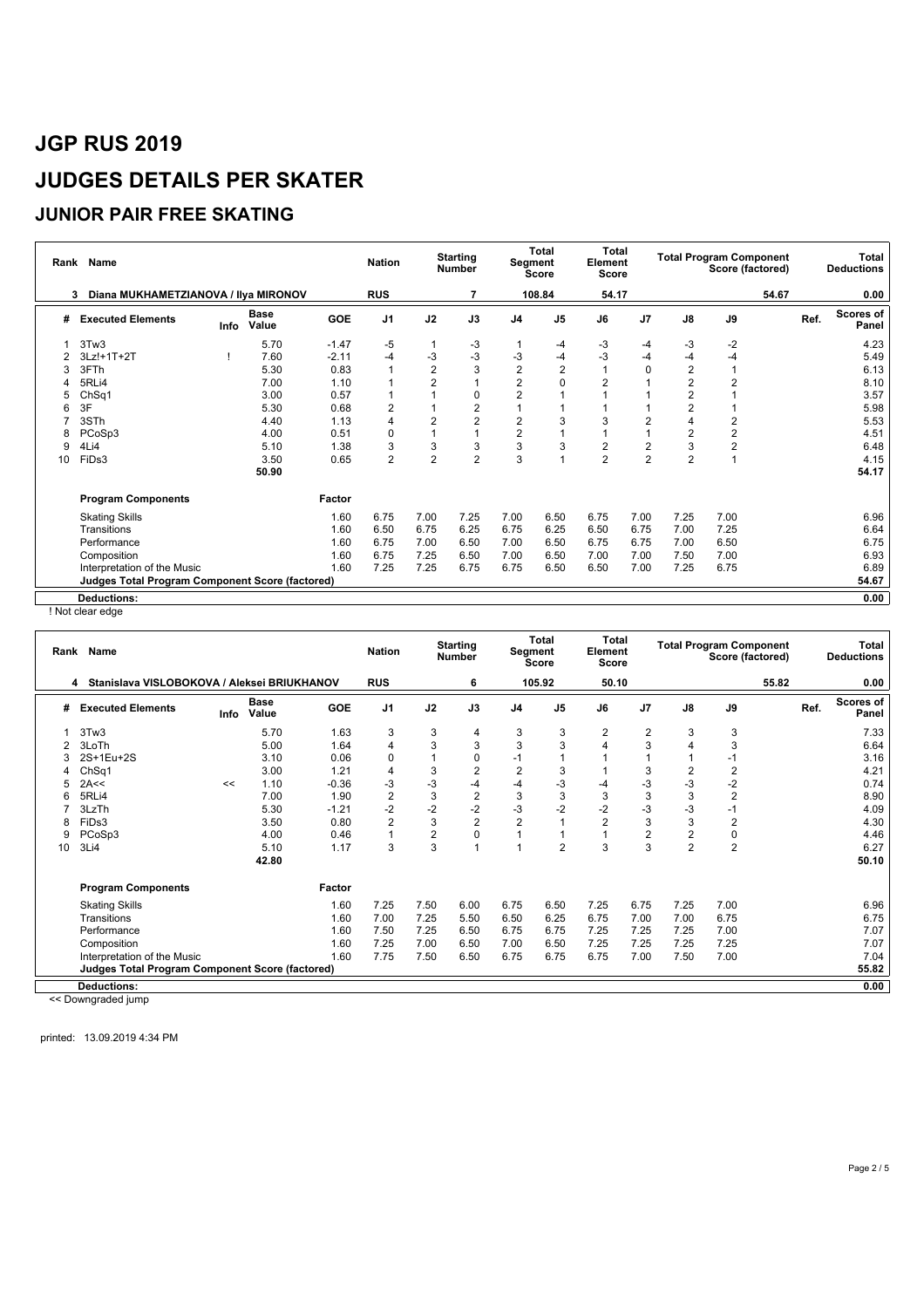### **JUNIOR PAIR FREE SKATING**

|    | Name<br>Rank<br>3                               |      |                      |            | <b>Nation</b>  |                | <b>Starting</b><br><b>Number</b> | Segment        | <b>Total</b><br><b>Score</b> | <b>Total</b><br>Element<br><b>Score</b> |                |                | <b>Total Program Component</b><br>Score (factored) |      | Total<br><b>Deductions</b> |
|----|-------------------------------------------------|------|----------------------|------------|----------------|----------------|----------------------------------|----------------|------------------------------|-----------------------------------------|----------------|----------------|----------------------------------------------------|------|----------------------------|
|    | Diana MUKHAMETZIANOVA / Ilya MIRONOV            |      |                      |            | <b>RUS</b>     |                | 7                                |                | 108.84                       | 54.17                                   |                |                | 54.67                                              |      | 0.00                       |
| #  | <b>Executed Elements</b>                        | Info | <b>Base</b><br>Value | <b>GOE</b> | J <sub>1</sub> | J2             | J3                               | J <sub>4</sub> | J <sub>5</sub>               | J6                                      | J7             | J8             | J9                                                 | Ref. | <b>Scores of</b><br>Panel  |
|    | 3Tw3                                            |      | 5.70                 | $-1.47$    | $-5$           |                | -3                               |                | $-4$                         | -3                                      | -4             | -3             | $-2$                                               |      | 4.23                       |
|    | $3Lz! + 1T + 2T$                                |      | 7.60                 | $-2.11$    | $-4$           | $-3$           | $-3$                             | $-3$           | $-4$                         | $-3$                                    | -4             | -4             | $-4$                                               |      | 5.49                       |
| 3  | 3FTh                                            |      | 5.30                 | 0.83       |                | $\overline{2}$ | 3                                | $\overline{2}$ | $\overline{c}$               |                                         | 0              | $\overline{2}$ |                                                    |      | 6.13                       |
|    | 5RLi4                                           |      | 7.00                 | 1.10       |                | $\overline{2}$ |                                  | $\overline{2}$ | 0                            | $\overline{2}$                          |                | $\overline{2}$ | $\overline{2}$                                     |      | 8.10                       |
| 5  | ChSq1                                           |      | 3.00                 | 0.57       |                |                | $\pmb{0}$                        | $\overline{2}$ |                              |                                         |                | $\overline{2}$ |                                                    |      | 3.57                       |
| 6  | 3F                                              |      | 5.30                 | 0.68       | $\overline{2}$ |                | 2                                |                |                              |                                         |                | $\overline{2}$ |                                                    |      | 5.98                       |
|    | 3STh                                            |      | 4.40                 | 1.13       | 4              | $\overline{2}$ | $\overline{2}$                   | $\overline{2}$ | 3                            | 3                                       | $\overline{2}$ | 4              | $\overline{2}$                                     |      | 5.53                       |
| 8  | PCoSp3                                          |      | 4.00                 | 0.51       | 0              | $\overline{1}$ |                                  | $\overline{2}$ |                              |                                         |                | $\overline{2}$ | $\overline{c}$                                     |      | 4.51                       |
| 9  | 4Li4                                            |      | 5.10                 | 1.38       | 3              | 3              | 3                                | 3              | 3                            | $\overline{\mathbf{c}}$                 | 2              | 3              | $\overline{c}$                                     |      | 6.48                       |
| 10 | FiDs3                                           |      | 3.50                 | 0.65       | $\overline{2}$ | $\overline{2}$ | $\overline{2}$                   | 3              |                              | $\overline{2}$                          | $\overline{2}$ | $\overline{2}$ |                                                    |      | 4.15                       |
|    |                                                 |      | 50.90                |            |                |                |                                  |                |                              |                                         |                |                |                                                    |      | 54.17                      |
|    | <b>Program Components</b>                       |      |                      | Factor     |                |                |                                  |                |                              |                                         |                |                |                                                    |      |                            |
|    | <b>Skating Skills</b>                           |      |                      | 1.60       | 6.75           | 7.00           | 7.25                             | 7.00           | 6.50                         | 6.75                                    | 7.00           | 7.25           | 7.00                                               |      | 6.96                       |
|    | Transitions                                     |      |                      | 1.60       | 6.50           | 6.75           | 6.25                             | 6.75           | 6.25                         | 6.50                                    | 6.75           | 7.00           | 7.25                                               |      | 6.64                       |
|    | Performance                                     |      |                      | 1.60       | 6.75           | 7.00           | 6.50                             | 7.00           | 6.50                         | 6.75                                    | 6.75           | 7.00           | 6.50                                               |      | 6.75                       |
|    | Composition                                     |      |                      | 1.60       | 6.75           | 7.25           | 6.50                             | 7.00           | 6.50                         | 7.00                                    | 7.00           | 7.50           | 7.00                                               |      | 6.93                       |
|    | Interpretation of the Music                     |      |                      | 1.60       | 7.25           | 7.25           | 6.75                             | 6.75           | 6.50                         | 6.50                                    | 7.00           | 7.25           | 6.75                                               |      | 6.89                       |
|    | Judges Total Program Component Score (factored) |      |                      |            |                |                |                                  |                |                              |                                         |                |                |                                                    |      | 54.67                      |
|    | <b>Deductions:</b>                              |      |                      |            |                |                |                                  |                |                              |                                         |                |                |                                                    |      | 0.00                       |

! Not clear edge

|    | Rank Name                                              |      |                      |            | <b>Nation</b>  |      | <b>Starting</b><br><b>Number</b> |                | <b>Total</b><br>Segment<br><b>Score</b> | Total<br>Element<br><b>Score</b> |      |                | <b>Total Program Component</b><br>Score (factored) |      | Total<br><b>Deductions</b> |
|----|--------------------------------------------------------|------|----------------------|------------|----------------|------|----------------------------------|----------------|-----------------------------------------|----------------------------------|------|----------------|----------------------------------------------------|------|----------------------------|
|    | Stanislava VISLOBOKOVA / Aleksei BRIUKHANOV<br>4       |      |                      |            | <b>RUS</b>     |      | 6                                |                | 105.92                                  | 50.10                            |      |                | 55.82                                              |      | 0.00                       |
| #  | <b>Executed Elements</b>                               | Info | <b>Base</b><br>Value | <b>GOE</b> | J <sub>1</sub> | J2   | J3                               | J <sub>4</sub> | J <sub>5</sub>                          | J6                               | J7   | $\mathsf{J}8$  | J9                                                 | Ref. | <b>Scores of</b><br>Panel  |
|    | 3Tw3                                                   |      | 5.70                 | 1.63       | 3              | 3    | 4                                | 3              | 3                                       | $\overline{2}$                   | 2    | 3              | 3                                                  |      | 7.33                       |
|    | 3LoTh                                                  |      | 5.00                 | 1.64       | 4              | 3    | 3                                | 3              | 3                                       | 4                                | 3    |                | 3                                                  |      | 6.64                       |
|    | 2S+1Eu+2S                                              |      | 3.10                 | 0.06       | 0              |      | $\pmb{0}$                        | $-1$           | $\mathbf{1}$                            |                                  |      |                | $-1$                                               |      | 3.16                       |
|    | ChSq1                                                  |      | 3.00                 | 1.21       | 4              | 3    | $\overline{2}$                   | $\overline{2}$ | 3                                       |                                  | 3    | 2              | $\overline{2}$                                     |      | 4.21                       |
|    | 2A<<                                                   | <<   | 1.10                 | $-0.36$    | $-3$           | $-3$ | $-4$                             | $-4$           | $-3$                                    | -4                               | $-3$ | $-3$           | $-2$                                               |      | 0.74                       |
| 6  | 5RLi4                                                  |      | 7.00                 | 1.90       | $\overline{2}$ | 3    | $\overline{2}$                   | 3              | 3                                       | 3                                | 3    | 3              | $\overline{2}$                                     |      | 8.90                       |
|    | 3LzTh                                                  |      | 5.30                 | $-1.21$    | $-2$           | $-2$ | $-2$                             | $-3$           | $-2$                                    | $-2$                             | -3   | $-3$           |                                                    |      | 4.09                       |
| 8  | FiDs3                                                  |      | 3.50                 | 0.80       | $\overline{2}$ | 3    | $\overline{2}$                   | $\overline{2}$ |                                         | $\overline{2}$                   | 3    | 3              | $\overline{2}$                                     |      | 4.30                       |
| 9  | PCoSp3                                                 |      | 4.00                 | 0.46       |                | 2    | 0                                |                |                                         |                                  | 2    | 2              | 0                                                  |      | 4.46                       |
| 10 | 3Li4                                                   |      | 5.10                 | 1.17       | 3              | 3    | 1                                |                | $\overline{2}$                          | 3                                | 3    | $\overline{2}$ | $\overline{2}$                                     |      | 6.27                       |
|    |                                                        |      | 42.80                |            |                |      |                                  |                |                                         |                                  |      |                |                                                    |      | 50.10                      |
|    | <b>Program Components</b>                              |      |                      | Factor     |                |      |                                  |                |                                         |                                  |      |                |                                                    |      |                            |
|    | <b>Skating Skills</b>                                  |      |                      | 1.60       | 7.25           | 7.50 | 6.00                             | 6.75           | 6.50                                    | 7.25                             | 6.75 | 7.25           | 7.00                                               |      | 6.96                       |
|    | Transitions                                            |      |                      | 1.60       | 7.00           | 7.25 | 5.50                             | 6.50           | 6.25                                    | 6.75                             | 7.00 | 7.00           | 6.75                                               |      | 6.75                       |
|    | Performance                                            |      |                      | 1.60       | 7.50           | 7.25 | 6.50                             | 6.75           | 6.75                                    | 7.25                             | 7.25 | 7.25           | 7.00                                               |      | 7.07                       |
|    | Composition                                            |      |                      | 1.60       | 7.25           | 7.00 | 6.50                             | 7.00           | 6.50                                    | 7.25                             | 7.25 | 7.25           | 7.25                                               |      | 7.07                       |
|    | Interpretation of the Music                            |      |                      | 1.60       | 7.75           | 7.50 | 6.50                             | 6.75           | 6.75                                    | 6.75                             | 7.00 | 7.50           | 7.00                                               |      | 7.04                       |
|    | <b>Judges Total Program Component Score (factored)</b> |      |                      |            |                |      |                                  |                |                                         |                                  |      |                |                                                    |      | 55.82                      |
|    | <b>Deductions:</b>                                     |      |                      |            |                |      |                                  |                |                                         |                                  |      |                |                                                    |      | 0.00                       |
|    |                                                        |      |                      |            |                |      |                                  |                |                                         |                                  |      |                |                                                    |      |                            |

<< Downgraded jump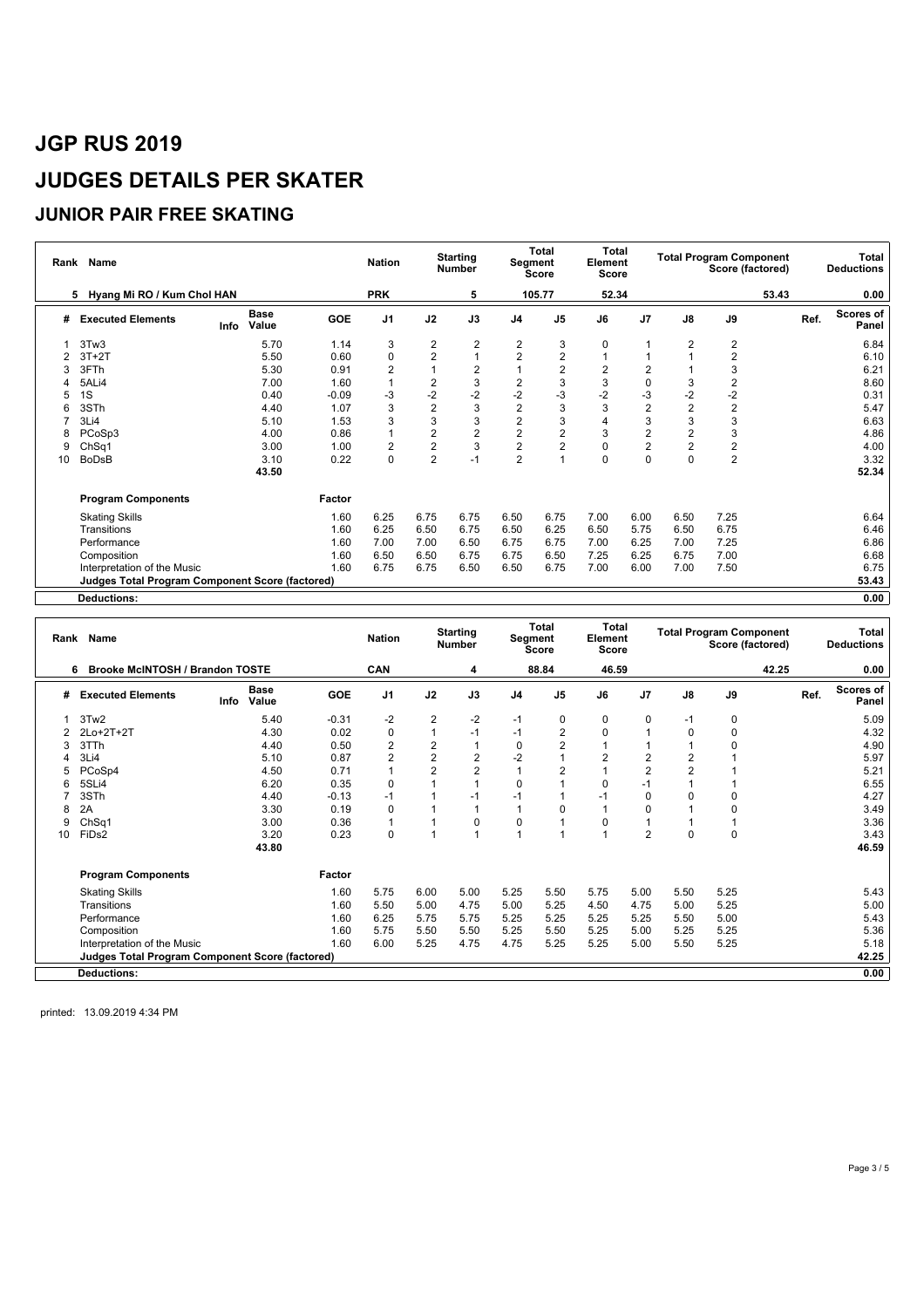### **JUNIOR PAIR FREE SKATING**

|    | Rank Name                                              |      |                      |            | <b>Nation</b>  |                | <b>Starting</b><br>Number | Segment                 | <b>Total</b><br>Score | Total<br>Element<br><b>Score</b> |                |                | <b>Total Program Component</b><br>Score (factored) |      | Total<br><b>Deductions</b> |
|----|--------------------------------------------------------|------|----------------------|------------|----------------|----------------|---------------------------|-------------------------|-----------------------|----------------------------------|----------------|----------------|----------------------------------------------------|------|----------------------------|
|    | Hyang Mi RO / Kum Chol HAN<br>5.                       |      |                      |            | <b>PRK</b>     |                | 5                         |                         | 105.77                | 52.34                            |                |                | 53.43                                              |      | 0.00                       |
| #  | <b>Executed Elements</b>                               | Info | <b>Base</b><br>Value | <b>GOE</b> | J <sub>1</sub> | J2             | J3                        | J <sub>4</sub>          | J <sub>5</sub>        | J6                               | J <sub>7</sub> | J8             | J9                                                 | Ref. | Scores of<br>Panel         |
|    | 3Tw3                                                   |      | 5.70                 | 1.14       | 3              | 2              | 2                         | 2                       | 3                     | 0                                |                | $\overline{2}$ | 2                                                  |      | 6.84                       |
|    | $3T+2T$                                                |      | 5.50                 | 0.60       | $\Omega$       | 2              |                           | 2                       | $\overline{c}$        |                                  |                |                | 2                                                  |      | 6.10                       |
|    | 3FTh                                                   |      | 5.30                 | 0.91       | $\overline{2}$ |                | 2                         |                         | $\overline{2}$        | $\overline{\mathbf{c}}$          | 2              |                | 3                                                  |      | 6.21                       |
|    | 5ALi4                                                  |      | 7.00                 | 1.60       |                | 2              | 3                         | $\overline{\mathbf{c}}$ | 3                     | 3                                | 0              | 3              | $\overline{2}$                                     |      | 8.60                       |
|    | 1S                                                     |      | 0.40                 | $-0.09$    | -3             | $-2$           | $-2$                      | $-2$                    | $-3$                  | $-2$                             | $-3$           | $-2$           | $-2$                                               |      | 0.31                       |
|    | 3STh                                                   |      | 4.40                 | 1.07       | 3              | $\overline{c}$ | 3                         | $\overline{2}$          | 3                     | 3                                | $\overline{2}$ | $\overline{2}$ | $\overline{2}$                                     |      | 5.47                       |
|    | 3Li4                                                   |      | 5.10                 | 1.53       | 3              | 3              | 3                         | $\overline{2}$          | 3                     | 4                                | 3              | 3              | 3                                                  |      | 6.63                       |
|    | PCoSp3                                                 |      | 4.00                 | 0.86       |                | 2              | $\overline{2}$            | $\overline{2}$          | $\overline{2}$        | 3                                | $\overline{2}$ | $\overline{2}$ | 3                                                  |      | 4.86                       |
| 9  | Ch <sub>Sq1</sub>                                      |      | 3.00                 | 1.00       | $\overline{2}$ | 2              | 3                         | $\overline{\mathbf{c}}$ | $\overline{2}$        | 0                                | 2              | $\overline{2}$ | 2                                                  |      | 4.00                       |
| 10 | <b>BoDsB</b>                                           |      | 3.10                 | 0.22       | $\Omega$       | $\overline{2}$ | $-1$                      | $\overline{2}$          |                       | $\Omega$                         | $\Omega$       | $\Omega$       | 2                                                  |      | 3.32                       |
|    |                                                        |      | 43.50                |            |                |                |                           |                         |                       |                                  |                |                |                                                    |      | 52.34                      |
|    | <b>Program Components</b>                              |      |                      | Factor     |                |                |                           |                         |                       |                                  |                |                |                                                    |      |                            |
|    | <b>Skating Skills</b>                                  |      |                      | 1.60       | 6.25           | 6.75           | 6.75                      | 6.50                    | 6.75                  | 7.00                             | 6.00           | 6.50           | 7.25                                               |      | 6.64                       |
|    | Transitions                                            |      |                      | 1.60       | 6.25           | 6.50           | 6.75                      | 6.50                    | 6.25                  | 6.50                             | 5.75           | 6.50           | 6.75                                               |      | 6.46                       |
|    | Performance                                            |      |                      | 1.60       | 7.00           | 7.00           | 6.50                      | 6.75                    | 6.75                  | 7.00                             | 6.25           | 7.00           | 7.25                                               |      | 6.86                       |
|    | Composition                                            |      |                      | 1.60       | 6.50           | 6.50           | 6.75                      | 6.75                    | 6.50                  | 7.25                             | 6.25           | 6.75           | 7.00                                               |      | 6.68                       |
|    | Interpretation of the Music                            |      |                      | 1.60       | 6.75           | 6.75           | 6.50                      | 6.50                    | 6.75                  | 7.00                             | 6.00           | 7.00           | 7.50                                               |      | 6.75                       |
|    | <b>Judges Total Program Component Score (factored)</b> |      |                      |            |                |                |                           |                         |                       |                                  |                |                |                                                    |      | 53.43                      |
|    | <b>Deductions:</b>                                     |      |                      |            |                |                |                           |                         |                       |                                  |                |                |                                                    |      | 0.00                       |

|    | Rank Name                                       |      | <b>Nation</b>        |            | <b>Starting</b><br><b>Number</b> |                         | <b>Total</b><br>Segment<br><b>Score</b> | <b>Total</b><br>Element<br><b>Score</b> |                |                         | <b>Total Program Component</b><br>Score (factored) |                |          | Total<br><b>Deductions</b> |      |                    |
|----|-------------------------------------------------|------|----------------------|------------|----------------------------------|-------------------------|-----------------------------------------|-----------------------------------------|----------------|-------------------------|----------------------------------------------------|----------------|----------|----------------------------|------|--------------------|
|    | <b>Brooke McINTOSH / Brandon TOSTE</b><br>6.    |      |                      |            | <b>CAN</b>                       |                         | 4                                       |                                         | 88.84          | 46.59                   |                                                    |                |          | 42.25                      |      | 0.00               |
| #  | <b>Executed Elements</b>                        | Info | <b>Base</b><br>Value | <b>GOE</b> | J <sub>1</sub>                   | J2                      | J3                                      | J <sub>4</sub>                          | J <sub>5</sub> | J6                      | J <sub>7</sub>                                     | J8             | J9       |                            | Ref. | Scores of<br>Panel |
|    | 3Tw2                                            |      | 5.40                 | $-0.31$    | $-2$                             | $\overline{2}$          | $-2$                                    | $-1$                                    | 0              | 0                       | 0                                                  | -1             | 0        |                            |      | 5.09               |
|    | 2Lo+2T+2T                                       |      | 4.30                 | 0.02       | 0                                | 1                       | $-1$                                    | -1                                      | $\overline{c}$ | 0                       |                                                    | 0              | 0        |                            |      | 4.32               |
|    | 3TTh                                            |      | 4.40                 | 0.50       | $\overline{2}$                   | $\overline{\mathbf{c}}$ | $\overline{1}$                          | $\mathbf 0$                             | $\overline{2}$ |                         |                                                    |                | $\Omega$ |                            |      | 4.90               |
|    | 3Li4                                            |      | 5.10                 | 0.87       | $\overline{2}$                   | $\overline{2}$          | $\overline{\mathbf{c}}$                 | $-2$                                    | 1              | $\overline{\mathbf{c}}$ | 2                                                  | 2              |          |                            |      | 5.97               |
|    | PCoSp4                                          |      | 4.50                 | 0.71       |                                  | $\overline{2}$          | $\overline{2}$                          |                                         | $\overline{2}$ |                         | $\overline{2}$                                     | $\overline{2}$ |          |                            |      | 5.21               |
|    | 5SLi4                                           |      | 6.20                 | 0.35       | $\Omega$                         |                         | $\overline{A}$                          | $\Omega$                                |                | $\Omega$                |                                                    |                |          |                            |      | 6.55               |
|    | 3STh                                            |      | 4.40                 | $-0.13$    | $-1$                             |                         | $-1$                                    | -1                                      |                | $-1$                    | 0                                                  |                | O        |                            |      | 4.27               |
| 8  | 2A                                              |      | 3.30                 | 0.19       | $\Omega$                         |                         | $\overline{1}$                          |                                         | $\Omega$       |                         | $\Omega$                                           |                | $\Omega$ |                            |      | 3.49               |
|    | Ch <sub>Sq1</sub>                               |      | 3.00                 | 0.36       |                                  |                         | 0                                       | $\Omega$                                |                | $\Omega$                |                                                    |                |          |                            |      | 3.36               |
| 10 | FiDs2                                           |      | 3.20                 | 0.23       | $\Omega$                         |                         | $\overline{ }$                          |                                         |                |                         | $\overline{2}$                                     | O              | $\Omega$ |                            |      | 3.43               |
|    |                                                 |      | 43.80                |            |                                  |                         |                                         |                                         |                |                         |                                                    |                |          |                            |      | 46.59              |
|    | <b>Program Components</b>                       |      |                      | Factor     |                                  |                         |                                         |                                         |                |                         |                                                    |                |          |                            |      |                    |
|    | <b>Skating Skills</b>                           |      |                      | 1.60       | 5.75                             | 6.00                    | 5.00                                    | 5.25                                    | 5.50           | 5.75                    | 5.00                                               | 5.50           | 5.25     |                            |      | 5.43               |
|    | Transitions                                     |      |                      | 1.60       | 5.50                             | 5.00                    | 4.75                                    | 5.00                                    | 5.25           | 4.50                    | 4.75                                               | 5.00           | 5.25     |                            |      | 5.00               |
|    | Performance                                     |      |                      | 1.60       | 6.25                             | 5.75                    | 5.75                                    | 5.25                                    | 5.25           | 5.25                    | 5.25                                               | 5.50           | 5.00     |                            |      | 5.43               |
|    | Composition                                     |      |                      | 1.60       | 5.75                             | 5.50                    | 5.50                                    | 5.25                                    | 5.50           | 5.25                    | 5.00                                               | 5.25           | 5.25     |                            |      | 5.36               |
|    | Interpretation of the Music                     |      |                      | 1.60       | 6.00                             | 5.25                    | 4.75                                    | 4.75                                    | 5.25           | 5.25                    | 5.00                                               | 5.50           | 5.25     |                            |      | 5.18               |
|    | Judges Total Program Component Score (factored) |      |                      |            |                                  |                         |                                         |                                         |                |                         |                                                    |                |          |                            |      | 42.25              |
|    | <b>Deductions:</b>                              |      |                      |            |                                  |                         |                                         |                                         |                |                         |                                                    |                |          |                            |      | 0.00               |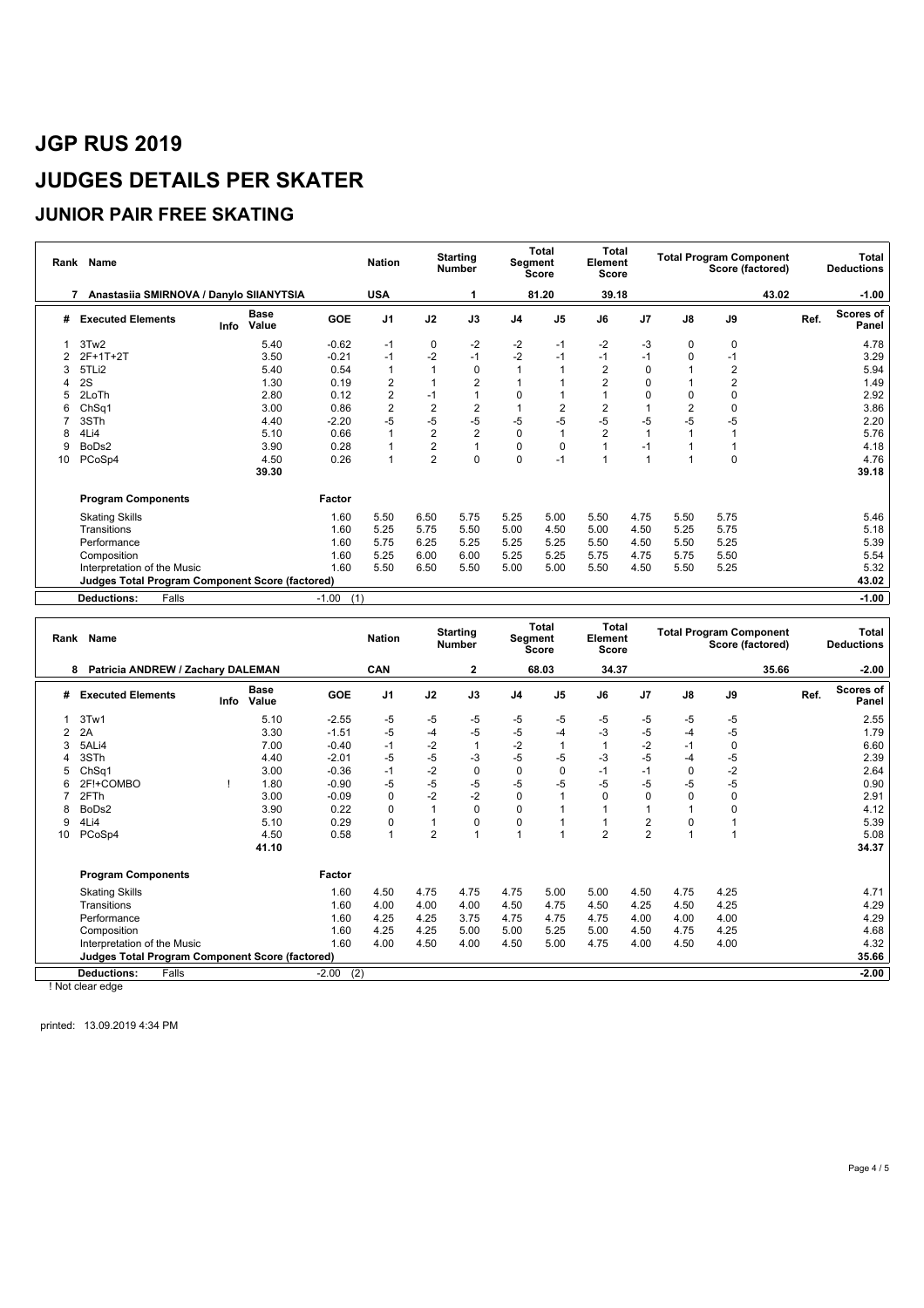### **JUNIOR PAIR FREE SKATING**

| Rank | <b>Name</b>                                     |      | <b>Nation</b>        |                | <b>Starting</b><br><b>Number</b> |                         | <b>Total</b><br>Segment<br><b>Score</b> | Total<br>Element<br>Score |                |                | <b>Total Program Component</b><br>Score (factored) |                | Total<br><b>Deductions</b> |       |                    |
|------|-------------------------------------------------|------|----------------------|----------------|----------------------------------|-------------------------|-----------------------------------------|---------------------------|----------------|----------------|----------------------------------------------------|----------------|----------------------------|-------|--------------------|
|      | Anastasiia SMIRNOVA / Danylo SIIANYTSIA<br>7    |      |                      |                | <b>USA</b>                       |                         |                                         |                           | 81.20          | 39.18          |                                                    |                |                            | 43.02 | $-1.00$            |
| #    | <b>Executed Elements</b>                        | Info | <b>Base</b><br>Value | <b>GOE</b>     | J <sub>1</sub>                   | J2                      | J3                                      | J <sub>4</sub>            | J <sub>5</sub> | J6             | J7                                                 | J8             | J9                         | Ref.  | Scores of<br>Panel |
|      | 3Tw2                                            |      | 5.40                 | $-0.62$        | -1                               | 0                       | -2                                      | $-2$                      | -1             | $-2$           | -3                                                 | 0              | 0                          |       | 4.78               |
|      | $2F+1T+2T$                                      |      | 3.50                 | $-0.21$        | $-1$                             | $-2$                    | $-1$                                    | $-2$                      | $-1$           | $-1$           | $-1$                                               | 0              | $-1$                       |       | 3.29               |
|      | 5TLi2                                           |      | 5.40                 | 0.54           |                                  |                         | $\mathbf 0$                             |                           |                | $\overline{2}$ | 0                                                  |                | $\overline{2}$             |       | 5.94               |
|      | 2S                                              |      | 1.30                 | 0.19           | 2                                |                         | $\overline{2}$                          |                           |                | $\overline{2}$ | 0                                                  |                | $\overline{2}$             |       | 1.49               |
|      | 2LoTh                                           |      | 2.80                 | 0.12           | $\overline{2}$                   | $-1$                    |                                         | $\mathbf 0$               |                |                | 0                                                  | 0              | $\mathbf 0$                |       | 2.92               |
|      | ChSq1                                           |      | 3.00                 | 0.86           | $\overline{2}$                   | 2                       | $\overline{2}$                          |                           | $\overline{2}$ | $\overline{2}$ |                                                    | $\overline{2}$ | $\mathbf 0$                |       | 3.86               |
|      | 3STh                                            |      | 4.40                 | $-2.20$        | $-5$                             | $-5$                    | $-5$                                    | $-5$                      | $-5$           | $-5$           | $-5$                                               | $-5$           | -5                         |       | 2.20               |
|      | 4Li4                                            |      | 5.10                 | 0.66           |                                  | 2                       | $\overline{2}$                          | $\mathbf 0$               | $\overline{1}$ | $\overline{2}$ |                                                    |                |                            |       | 5.76               |
|      | BoDs2                                           |      | 3.90                 | 0.28           |                                  | $\overline{\mathbf{c}}$ |                                         | $\mathbf 0$               | $\mathbf 0$    |                | $-1$                                               |                |                            |       | 4.18               |
| 10   | PCoSp4                                          |      | 4.50                 | 0.26           |                                  | $\overline{2}$          | $\Omega$                                | $\Omega$                  | $-1$           |                |                                                    |                | $\Omega$                   |       | 4.76               |
|      |                                                 |      | 39.30                |                |                                  |                         |                                         |                           |                |                |                                                    |                |                            |       | 39.18              |
|      | <b>Program Components</b>                       |      |                      | Factor         |                                  |                         |                                         |                           |                |                |                                                    |                |                            |       |                    |
|      | <b>Skating Skills</b>                           |      |                      | 1.60           | 5.50                             | 6.50                    | 5.75                                    | 5.25                      | 5.00           | 5.50           | 4.75                                               | 5.50           | 5.75                       |       | 5.46               |
|      | Transitions                                     |      |                      | 1.60           | 5.25                             | 5.75                    | 5.50                                    | 5.00                      | 4.50           | 5.00           | 4.50                                               | 5.25           | 5.75                       |       | 5.18               |
|      | Performance                                     |      |                      | 1.60           | 5.75                             | 6.25                    | 5.25                                    | 5.25                      | 5.25           | 5.50           | 4.50                                               | 5.50           | 5.25                       |       | 5.39               |
|      | Composition                                     |      |                      | 1.60           | 5.25                             | 6.00                    | 6.00                                    | 5.25                      | 5.25           | 5.75           | 4.75                                               | 5.75           | 5.50                       |       | 5.54               |
|      | Interpretation of the Music                     |      |                      | 1.60           | 5.50                             | 6.50                    | 5.50                                    | 5.00                      | 5.00           | 5.50           | 4.50                                               | 5.50           | 5.25                       |       | 5.32               |
|      | Judges Total Program Component Score (factored) |      |                      |                |                                  |                         |                                         |                           |                |                |                                                    |                |                            |       | 43.02              |
|      | <b>Deductions:</b><br>Falls                     |      |                      | $-1.00$<br>(1) |                                  |                         |                                         |                           |                |                |                                                    |                |                            |       | $-1.00$            |

|    | Rank Name                                              |      |                      |                | <b>Nation</b>  |                | <b>Starting</b><br><b>Number</b> |                | <b>Total</b><br>Segment<br><b>Score</b> | Total<br>Element<br>Score |                |               | <b>Total Program Component</b><br>Score (factored) |       |      | Total<br><b>Deductions</b> |
|----|--------------------------------------------------------|------|----------------------|----------------|----------------|----------------|----------------------------------|----------------|-----------------------------------------|---------------------------|----------------|---------------|----------------------------------------------------|-------|------|----------------------------|
|    | Patricia ANDREW / Zachary DALEMAN<br>8                 |      |                      |                | <b>CAN</b>     |                | 2                                |                | 68.03                                   | 34.37                     |                |               |                                                    | 35.66 |      | $-2.00$                    |
| #  | <b>Executed Elements</b>                               | Info | <b>Base</b><br>Value | GOE            | J <sub>1</sub> | J2             | J3                               | J <sub>4</sub> | J <sub>5</sub>                          | J6                        | J7             | $\mathsf{J}8$ | J9                                                 |       | Ref. | Scores of<br>Panel         |
|    | 3Tw1                                                   |      | 5.10                 | $-2.55$        | -5             | -5             | $-5$                             | $-5$           | $-5$                                    | -5                        | -5             | -5            | $-5$                                               |       |      | 2.55                       |
|    | 2A                                                     |      | 3.30                 | $-1.51$        | -5             | $-4$           | $-5$                             | $-5$           | $-4$                                    | -3                        | -5             | -4            | $-5$                                               |       |      | 1.79                       |
|    | 5ALi4                                                  |      | 7.00                 | $-0.40$        | $-1$           | $-2$           | $\mathbf{1}$                     | $-2$           | 1                                       |                           | $-2$           | $-1$          | 0                                                  |       |      | 6.60                       |
|    | 3STh                                                   |      | 4.40                 | $-2.01$        | -5             | -5             | -3                               | $-5$           | $-5$                                    | -3                        | -5             | -4            | -5                                                 |       |      | 2.39                       |
|    | Ch <sub>Sq1</sub>                                      |      | 3.00                 | $-0.36$        | $-1$           | $-2$           | $\mathbf 0$                      | 0              | $\mathbf 0$                             | $-1$                      | $-1$           | $\Omega$      | $-2$                                               |       |      | 2.64                       |
|    | 2F!+COMBO                                              |      | 1.80                 | $-0.90$        | -5             | -5             | -5                               | -5             | $-5$                                    | $-5$                      | -5             | -5            | $-5$                                               |       |      | 0.90                       |
|    | 2FTh                                                   |      | 3.00                 | $-0.09$        | $\Omega$       | $-2$           | $-2$                             | $\mathbf 0$    |                                         | $\Omega$                  | $\Omega$       | $\Omega$      | $\Omega$                                           |       |      | 2.91                       |
|    | BoDs2                                                  |      | 3.90                 | 0.22           | O              |                | $\Omega$                         | $\Omega$       |                                         |                           |                |               |                                                    |       |      | 4.12                       |
| 9  | 4Li4                                                   |      | 5.10                 | 0.29           |                |                | 0                                | 0              |                                         |                           | 2              | 0             |                                                    |       |      | 5.39                       |
| 10 | PCoSp4                                                 |      | 4.50                 | 0.58           |                | $\overline{2}$ | $\overline{1}$                   |                |                                         | $\overline{2}$            | $\overline{2}$ |               |                                                    |       |      | 5.08                       |
|    |                                                        |      | 41.10                |                |                |                |                                  |                |                                         |                           |                |               |                                                    |       |      | 34.37                      |
|    | <b>Program Components</b>                              |      |                      | Factor         |                |                |                                  |                |                                         |                           |                |               |                                                    |       |      |                            |
|    | <b>Skating Skills</b>                                  |      |                      | 1.60           | 4.50           | 4.75           | 4.75                             | 4.75           | 5.00                                    | 5.00                      | 4.50           | 4.75          | 4.25                                               |       |      | 4.71                       |
|    | Transitions                                            |      |                      | 1.60           | 4.00           | 4.00           | 4.00                             | 4.50           | 4.75                                    | 4.50                      | 4.25           | 4.50          | 4.25                                               |       |      | 4.29                       |
|    | Performance                                            |      |                      | 1.60           | 4.25           | 4.25           | 3.75                             | 4.75           | 4.75                                    | 4.75                      | 4.00           | 4.00          | 4.00                                               |       |      | 4.29                       |
|    | Composition                                            |      |                      | 1.60           | 4.25           | 4.25           | 5.00                             | 5.00           | 5.25                                    | 5.00                      | 4.50           | 4.75          | 4.25                                               |       |      | 4.68                       |
|    | Interpretation of the Music                            |      |                      | 1.60           | 4.00           | 4.50           | 4.00                             | 4.50           | 5.00                                    | 4.75                      | 4.00           | 4.50          | 4.00                                               |       |      | 4.32                       |
|    | <b>Judges Total Program Component Score (factored)</b> |      |                      |                |                |                |                                  |                |                                         |                           |                |               |                                                    |       |      | 35.66                      |
|    | <b>Deductions:</b><br>Falls                            |      |                      | (2)<br>$-2.00$ |                |                |                                  |                |                                         |                           |                |               |                                                    |       |      | $-2.00$                    |

! Not clear edge